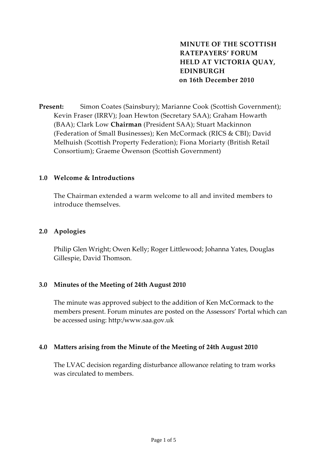**MINUTE OF THE SCOTTISH RATEPAYERS' FORUM HELD AT VICTORIA QUAY, EDINBURGH on 16th December 2010**

**Present:** Simon Coates (Sainsbury); Marianne Cook (Scottish Government); Kevin Fraser (IRRV); Joan Hewton (Secretary SAA); Graham Howarth (BAA); Clark Low **Chairman** (President SAA); Stuart Mackinnon (Federation of Small Businesses); Ken McCormack (RICS & CBI); David Melhuish (Scottish Property Federation); Fiona Moriarty (British Retail Consortium); Graeme Owenson (Scottish Government)

#### **1.0 Welcome & Introductions**

The Chairman extended a warm welcome to all and invited members to introduce themselves.

## **2.0 Apologies**

Philip Glen Wright; Owen Kelly; Roger Littlewood; Johanna Yates, Douglas Gillespie, David Thomson.

#### **3.0 Minutes of the Meeting of 24th August 2010**

The minute was approved subject to the addition of Ken McCormack to the members present. Forum minutes are posted on the Assessors' Portal which can be accessed using: http:/www.saa.gov.uk

#### **4.0 Matters arising from the Minute of the Meeting of 24th August 2010**

The LVAC decision regarding disturbance allowance relating to tram works was circulated to members.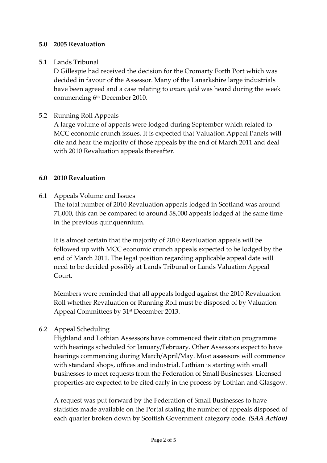## **5.0 2005 Revaluation**

## 5.1 Lands Tribunal

D Gillespie had received the decision for the Cromarty Forth Port which was decided in favour of the Assessor. Many of the Lanarkshire large industrials have been agreed and a case relating to *unum quid* was heard during the week commencing 6<sup>th</sup> December 2010.

## 5.2 Running Roll Appeals

A large volume of appeals were lodged during September which related to MCC economic crunch issues. It is expected that Valuation Appeal Panels will cite and hear the majority of those appeals by the end of March 2011 and deal with 2010 Revaluation appeals thereafter.

## **6.0 2010 Revaluation**

# 6.1 Appeals Volume and Issues

The total number of 2010 Revaluation appeals lodged in Scotland was around 71,000, this can be compared to around 58,000 appeals lodged at the same time in the previous quinquennium.

It is almost certain that the majority of 2010 Revaluation appeals will be followed up with MCC economic crunch appeals expected to be lodged by the end of March 2011. The legal position regarding applicable appeal date will need to be decided possibly at Lands Tribunal or Lands Valuation Appeal Court.

Members were reminded that all appeals lodged against the 2010 Revaluation Roll whether Revaluation or Running Roll must be disposed of by Valuation Appeal Committees by 31st December 2013.

# 6.2 Appeal Scheduling

Highland and Lothian Assessors have commenced their citation programme with hearings scheduled for January/February. Other Assessors expect to have hearings commencing during March/April/May. Most assessors will commence with standard shops, offices and industrial. Lothian is starting with small businesses to meet requests from the Federation of Small Businesses. Licensed properties are expected to be cited early in the process by Lothian and Glasgow.

A request was put forward by the Federation of Small Businesses to have statistics made available on the Portal stating the number of appeals disposed of each quarter broken down by Scottish Government category code. *(SAA Action)*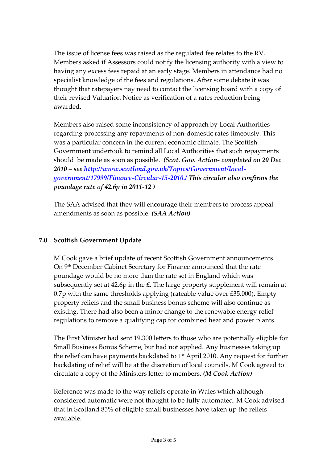The issue of license fees was raised as the regulated fee relates to the RV. Members asked if Assessors could notify the licensing authority with a view to having any excess fees repaid at an early stage. Members in attendance had no specialist knowledge of the fees and regulations. After some debate it was thought that ratepayers nay need to contact the licensing board with a copy of their revised Valuation Notice as verification of a rates reduction being awarded.

Members also raised some inconsistency of approach by Local Authorities regarding processing any repayments of non‐domestic rates timeously. This was a particular concern in the current economic climate. The Scottish Government undertook to remind all Local Authorities that such repayments should be made as soon as possible. *(Scot. Gov. Action‐ completed on 20 Dec 2010 – see [http://www.scotland.gov.uk/Topics/Government/local](http://www.scotland.gov.uk/Topics/Government/local-government/17999/Finance-Circular-15-2010./)‐ [government/17999/Finance](http://www.scotland.gov.uk/Topics/Government/local-government/17999/Finance-Circular-15-2010./)‐Circular‐15‐2010./ This circular also confirms the poundage rate of 42.6p in 2011‐12 )* 

The SAA advised that they will encourage their members to process appeal amendments as soon as possible. *(SAA Action)*

# **7.0 Scottish Government Update**

M Cook gave a brief update of recent Scottish Government announcements. On 9<sup>th</sup> December Cabinet Secretary for Finance announced that the rate poundage would be no more than the rate set in England which was subsequently set at 42.6p in the  $E$ . The large property supplement will remain at 0.7p with the same thresholds applying (rateable value over  $£35,000$ ). Empty property reliefs and the small business bonus scheme will also continue as existing. There had also been a minor change to the renewable energy relief regulations to remove a qualifying cap for combined heat and power plants.

The First Minister had sent 19,300 letters to those who are potentially eligible for Small Business Bonus Scheme, but had not applied. Any businesses taking up the relief can have payments backdated to  $1<sup>st</sup>$  April 2010. Any request for further backdating of relief will be at the discretion of local councils. M Cook agreed to circulate a copy of the Ministers letter to members. *(M Cook Action)*

Reference was made to the way reliefs operate in Wales which although considered automatic were not thought to be fully automated. M Cook advised that in Scotland 85% of eligible small businesses have taken up the reliefs available.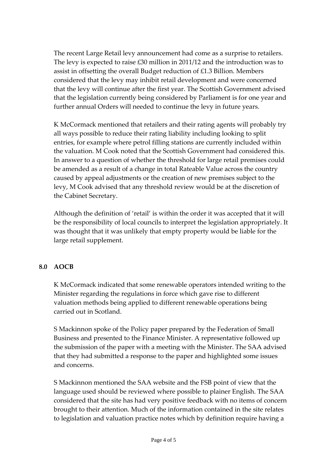The recent Large Retail levy announcement had come as a surprise to retailers. The levy is expected to raise £30 million in 2011/12 and the introduction was to assist in offsetting the overall Budget reduction of £1.3 Billion. Members considered that the levy may inhibit retail development and were concerned that the levy will continue after the first year. The Scottish Government advised that the legislation currently being considered by Parliament is for one year and further annual Orders will needed to continue the levy in future years.

K McCormack mentioned that retailers and their rating agents will probably try all ways possible to reduce their rating liability including looking to split entries, for example where petrol filling stations are currently included within the valuation. M Cook noted that the Scottish Government had considered this. In answer to a question of whether the threshold for large retail premises could be amended as a result of a change in total Rateable Value across the country caused by appeal adjustments or the creation of new premises subject to the levy, M Cook advised that any threshold review would be at the discretion of the Cabinet Secretary.

Although the definition of 'retail' is within the order it was accepted that it will be the responsibility of local councils to interpret the legislation appropriately. It was thought that it was unlikely that empty property would be liable for the large retail supplement.

# **8.0 AOCB**

K McCormack indicated that some renewable operators intended writing to the Minister regarding the regulations in force which gave rise to different valuation methods being applied to different renewable operations being carried out in Scotland.

S Mackinnon spoke of the Policy paper prepared by the Federation of Small Business and presented to the Finance Minister. A representative followed up the submission of the paper with a meeting with the Minister. The SAA advised that they had submitted a response to the paper and highlighted some issues and concerns.

S Mackinnon mentioned the SAA website and the FSB point of view that the language used should be reviewed where possible to plainer English. The SAA considered that the site has had very positive feedback with no items of concern brought to their attention. Much of the information contained in the site relates to legislation and valuation practice notes which by definition require having a